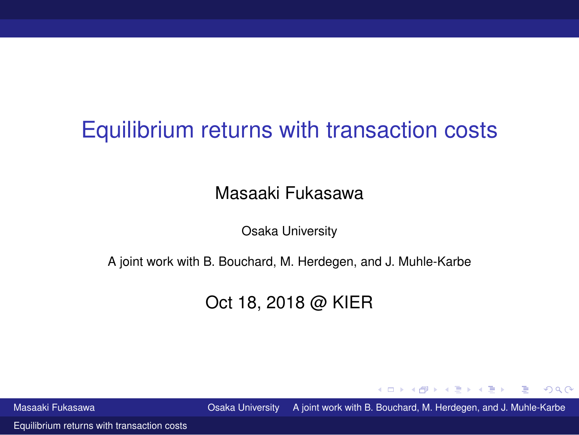# <span id="page-0-0"></span>Equilibrium returns with transaction costs

#### Masaaki Fukasawa

Osaka University

A joint work with B. Bouchard, M. Herdegen, and J. Muhle-Karbe

#### Oct 18, 2018 @ KIER

Masaaki Fukasawa Osaka University A joint work with B. Bouchard, M. Herdegen, and J. Muhle-Karbe

化重新分重率

 $\Omega$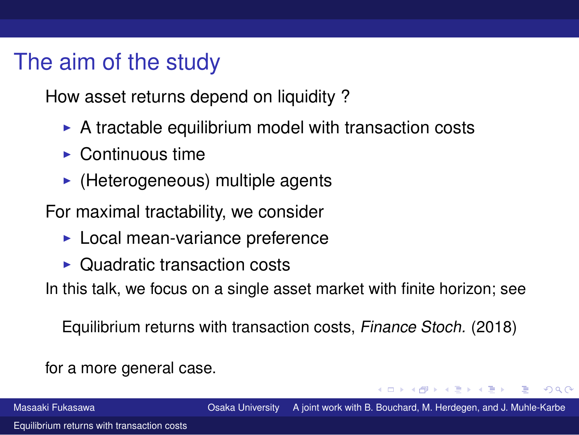# The aim of the study

How asset returns depend on liquidity ?

- $\triangleright$  A tractable equilibrium model with transaction costs
- $\blacktriangleright$  Continuous time
- $\blacktriangleright$  (Heterogeneous) multiple agents

For maximal tractability, we consider

- ▶ Local mean-variance preference
- ▶ Quadratic transaction costs

In this talk, we focus on a single asset market with finite horizon; see

Equilibrium returns with transaction costs, Finance Stoch. (2018)

for a more general case.

Masaaki Fukasawa Osaka University A joint work with B. Bouchard, M. Herdegen, and J. Muhle-Karbe

 $QQ$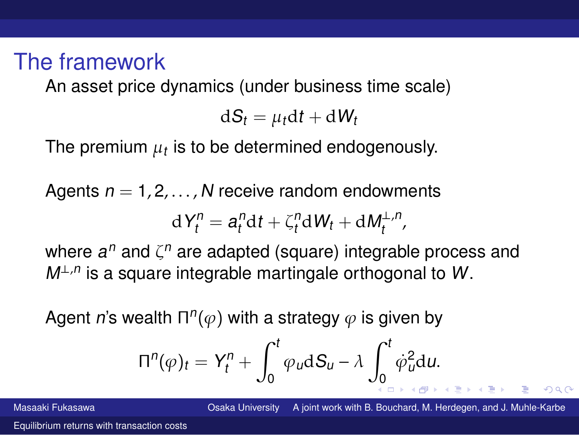## The framework

An asset price dynamics (under business time scale)

 $dS_t = u_t dt + dW_t$ 

The premium  $\mu_t$  is to be determined endogenously.

Agents  $n = 1, 2, \ldots, N$  receive random endowments

$$
dY_t^n = a_t^n dt + \zeta_t^n dW_t + dM_t^{\perp,n},
$$

where  $a^n$  and  $\zeta^n$  are adapted (square) integrable process and  $M^{\perp,n}$  is a square integrable martingale orthogonal to W.

Agent  $\boldsymbol{n}$ 's wealth  $\Pi^n(\varphi)$  with a strategy  $\varphi$  is given by

$$
\Pi^{n}(\varphi)_{t} = Y_{t}^{n} + \int_{0}^{t} \varphi_{u} dS_{u} - \lambda \int_{0}^{t} \dot{\varphi}_{u}^{2} du.
$$

Masaaki Fukasawa Osaka University A joint work with B. Bouchard, M. Herdegen, and J. Muhle-Karbe

 $QQ$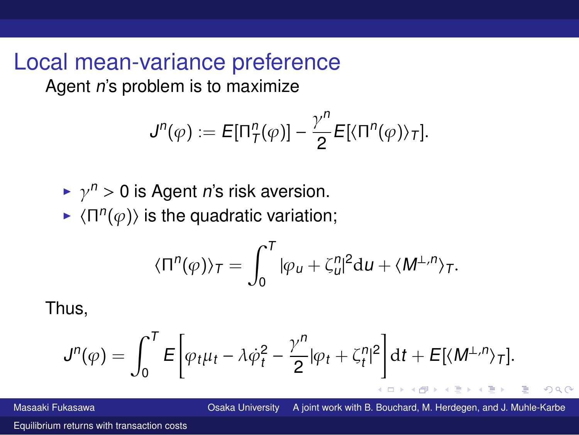Local mean-variance preference Agent <sup>n</sup>'s problem is to maximize

$$
J^n(\varphi) := E[\Pi^n_T(\varphi)] - \frac{\gamma^n}{2} E[\langle \Pi^n(\varphi) \rangle_T].
$$

 $\blacktriangleright$   $\gamma^n > 0$  is Agent *n*'s risk aversion.

 $\blacktriangleright$   $\langle \Pi^n(\varphi) \rangle$  is the quadratic variation;

$$
\langle \Pi^n(\varphi) \rangle_T = \int_0^T |\varphi_u + \zeta_u^n|^2 \mathrm{d} u + \langle M^{\perp,n} \rangle_T.
$$

Thus,

$$
J^n(\varphi) = \int_0^T E\bigg[\varphi_t\mu_t - \lambda\dot{\varphi}_t^2 - \frac{\gamma^n}{2}|\varphi_t + \zeta_t^n|^2\bigg]dt + E[\langle M^{\perp,n}\rangle_T].
$$

Masaaki Fukasawa Osaka University A joint work with B. Bouchard, M. Herdegen, and J. Muhle-Karbe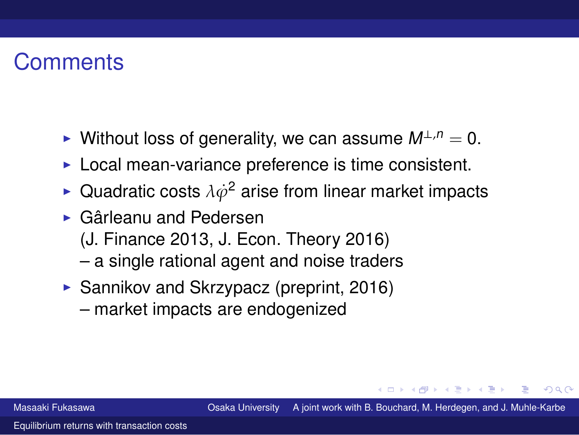# **Comments**

- ► Without loss of generality, we can assume  $M^{\perp,n} = 0$ .
- ▶ Local mean-variance preference is time consistent.
- $\blacktriangleright$  Quadratic costs  $\lambda \dot \varphi^2$  arise from linear market impacts
- ▶ Gârleanu and Pedersen
	- (J. Finance 2013, J. Econ. Theory 2016)
	- a single rational agent and noise traders
- ▶ Sannikov and Skrzypacz (preprint, 2016)
	- market impacts are endogenized

つのへ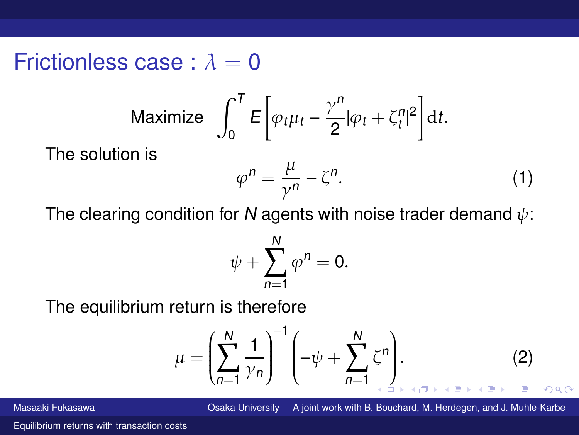Frictionless case :  $\lambda = 0$ 

$$
\text{Maximize } \int_0^T E\bigg[\varphi_t \mu_t - \frac{\gamma^n}{2} |\varphi_t + \zeta_t^n|^2\bigg] \, \mathrm{d}t.
$$

The solution is

<span id="page-5-0"></span>
$$
\varphi^n = \frac{\mu}{\gamma^n} - \zeta^n. \tag{1}
$$

The clearing condition for N agents with noise trader demand  $\psi$ :

$$
\psi+\sum_{n=1}^N\varphi^n=0.
$$

The equilibrium return is therefore

<span id="page-5-1"></span>
$$
\mu = \left(\sum_{n=1}^{N} \frac{1}{\gamma_n}\right)^{-1} \left(-\psi + \sum_{n=1}^{N} \zeta^n\right).
$$
 (2)

Masaaki Fukasawa Osaka University A joint work with B. Bouchard, M. Herdegen, and J. Muhle-Karbe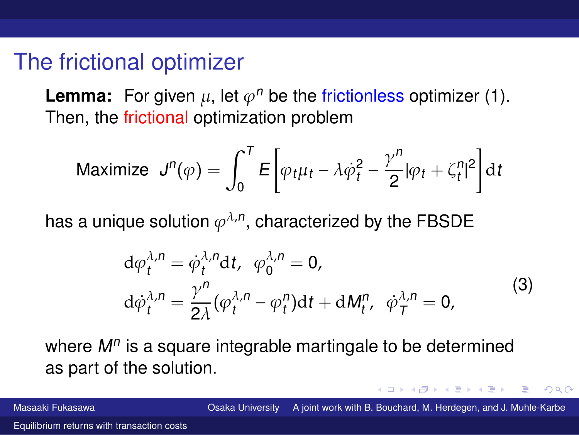### The frictional optimizer

**Lemma:** For given  $\mu$ , let  $\varphi^n$  be the frictionless optimizer [\(1](#page-5-0)). Then, the frictional optimization problem

Maximize 
$$
J^n(\varphi) = \int_0^T E \left[ \varphi_t \mu_t - \lambda \dot{\varphi}_t^2 - \frac{\gamma^n}{2} |\varphi_t + \zeta_t^n|^2 \right] dt
$$

has a unique solution  $\varphi^{\lambda,n}$ , characterized by the FBSDE

$$
d\varphi_t^{\lambda,n} = \dot{\varphi}_t^{\lambda,n} dt, \quad \varphi_0^{\lambda,n} = 0,
$$
  
\n
$$
d\dot{\varphi}_t^{\lambda,n} = \frac{\gamma^n}{2\lambda} (\varphi_t^{\lambda,n} - \varphi_t^n) dt + dM_t^n, \quad \dot{\varphi}_T^{\lambda,n} = 0,
$$
\n(3)

<span id="page-6-0"></span>where  $\mathsf{M}^n$  is a square integrable martingale to be determined as part of the solution.

Masaaki Fukasawa Osaka University A joint work with B. Bouchard, M. Herdegen, and J. Muhle-Karbe

 $\Omega$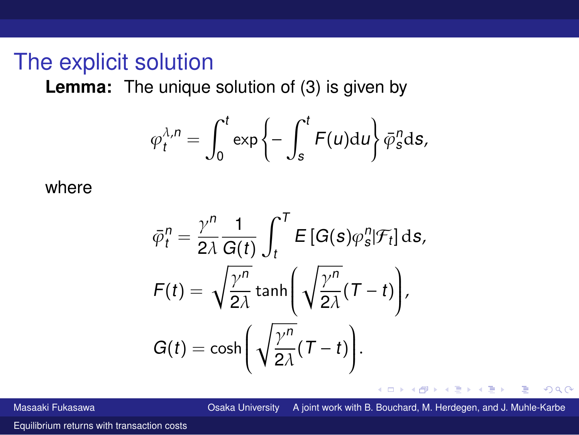### The explicit solution

**Lemma:** The unique solution of ([3\)](#page-6-0) is given by

$$
\varphi_t^{\lambda,n} = \int_0^t \exp\left\{-\int_s^t F(u) \mathrm{d}u\right\} \bar{\varphi}_s^n \mathrm{d}s,
$$

where

$$
\bar{\varphi}_t^n = \frac{\gamma^n}{2\lambda} \frac{1}{G(t)} \int_t^T E[G(s)\varphi_s^n | \mathcal{F}_t] ds,
$$
  

$$
F(t) = \sqrt{\frac{\gamma^n}{2\lambda}} \tanh\left(\sqrt{\frac{\gamma^n}{2\lambda}}(T-t)\right),
$$
  

$$
G(t) = \cosh\left(\sqrt{\frac{\gamma^n}{2\lambda}}(T-t)\right).
$$

4 0 8 Masaaki Fukasawa Osaka University A joint work with B. Bouchard, M. Herdegen, and J. Muhle-Karbe

Э×  $\leftarrow$   $\equiv$   $2Q$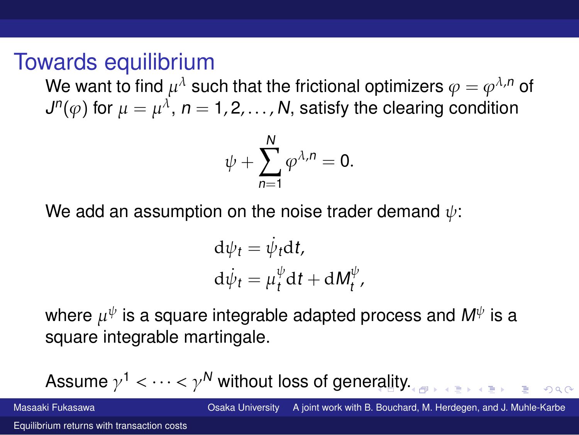### Towards equilibrium

We want to find  $\mu^\lambda$  such that the frictional optimizers  $\varphi=\varphi^{\lambda,n}$  of  $J^n(\varphi)$  for  $\mu=\mu^\lambda$ ,  $n=1,2,\ldots$  ,  ${\sf N},$  satisfy the clearing condition

$$
\psi+\sum_{n=1}^N\varphi^{\lambda,n}=0.
$$

We add an assumption on the noise trader demand  $\psi$ :

$$
d\psi_t = \dot{\psi}_t dt,
$$
  

$$
d\dot{\psi}_t = \mu_t^{\psi} dt + dM_t^{\psi},
$$

where  $\mu^\psi$  is a square integrable adapted process and  $\boldsymbol{M}^\psi$  is a square integrable martingale.

Assume  $\gamma^1<\dots<\gamma^N$  without loss of generality. Masaaki Fukasawa Osaka University A joint work with B. Bouchard, M. Herdegen, and J. Muhle-Karbe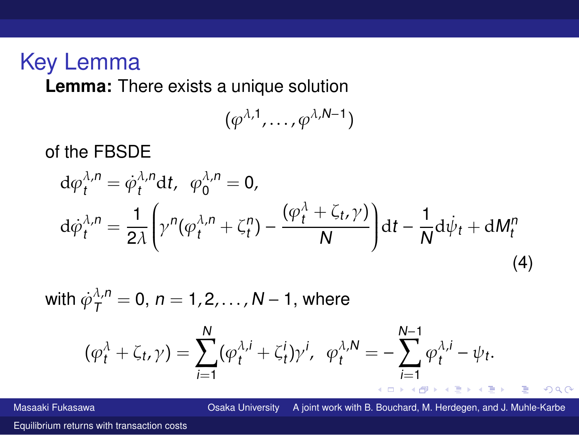## Key Lemma

**Lemma:** There exists a unique solution

$$
(\varphi^{\lambda,1},\ldots,\varphi^{\lambda,N-1})
$$

of the FBSDE

$$
d\varphi_t^{\lambda,n} = \dot{\varphi}_t^{\lambda,n} dt, \quad \varphi_0^{\lambda,n} = 0,
$$
  

$$
d\dot{\varphi}_t^{\lambda,n} = \frac{1}{2\lambda} \left( \gamma^n (\varphi_t^{\lambda,n} + \zeta_t^n) - \frac{(\varphi_t^{\lambda} + \zeta_t, \gamma)}{N} \right) dt - \frac{1}{N} d\dot{\psi}_t + dM_t^n
$$
  
(4)

<span id="page-9-0"></span>with  $\dot{\varphi}_{\mathcal{T}}^{\lambda,n}=$  0,  $n=$  1, 2,  $\dots$  , M  $-$  1, where

$$
(\varphi_t^{\lambda} + \zeta_t, \gamma) = \sum_{i=1}^N (\varphi_t^{\lambda, i} + \zeta_t^i) \gamma^i, \ \varphi_t^{\lambda, N} = -\sum_{i=1}^{N-1} \varphi_t^{\lambda, i} - \psi_t.
$$

Masaaki Fukasawa Osaka University A joint work with B. Bouchard, M. Herdegen, and J. Muhle-Karbe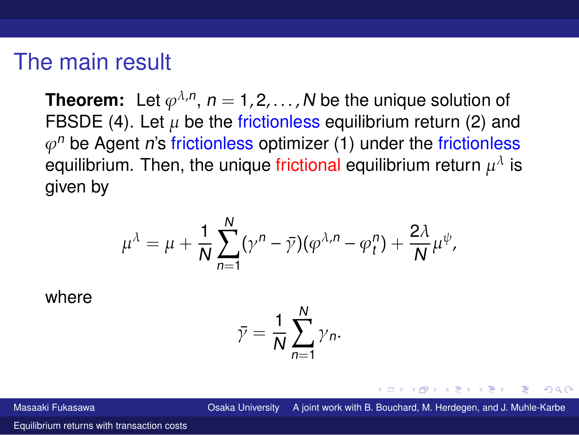### The main result

**Theorem:** Let  $\varphi^{\lambda,n}$ ,  $n = 1,2,\ldots,N$  be the unique solution of FBSDE [\(4](#page-9-0)). Let  $\mu$  be the frictionless equilibrium return [\(2](#page-5-1)) and  $\varphi^n$  be Agent  $n$ 's frictionless optimizer ([1\)](#page-5-0) under the frictionless equilibrium. Then, the unique frictional equilibrium return  $\mu^\lambda$  is given by

$$
\mu^{\lambda} = \mu + \frac{1}{N} \sum_{n=1}^{N} (\gamma^{n} - \bar{\gamma})(\varphi^{\lambda,n} - \varphi_{t}^{n}) + \frac{2\lambda}{N} \mu^{\psi},
$$

where

$$
\bar{\gamma} = \frac{1}{N} \sum_{n=1}^{N} \gamma_n.
$$

Masaaki Fukasawa Osaka University A joint work with B. Bouchard, M. Herdegen, and J. Muhle-Karbe

つのへ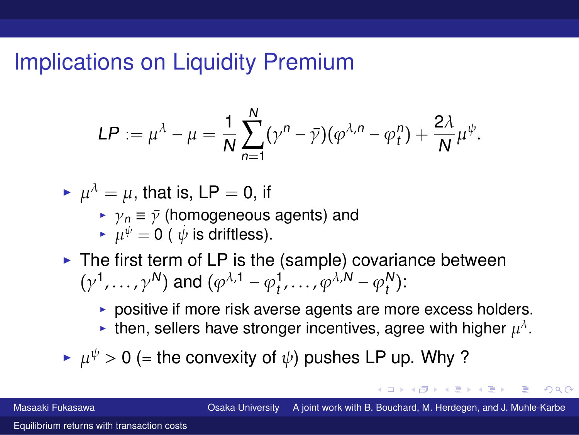# Implications on Liquidity Premium

$$
LP := \mu^{\lambda} - \mu = \frac{1}{N} \sum_{n=1}^{N} (\gamma^{n} - \bar{\gamma})(\varphi^{\lambda,n} - \varphi_{t}^{n}) + \frac{2\lambda}{N} \mu^{\psi}.
$$

- $\blacktriangleright \ \mu^\lambda = \mu,$  that is, LP  $=$  0, if
	- ▶  $\gamma_n \equiv \bar{\gamma}$  (homogeneous agents) and
	- $\blacktriangleright \ \mu^{\psi} = 0$  (  $\dot{\psi}$  is driftless).
- $\triangleright$  The first term of LP is the (sample) covariance between  $(\gamma^1, \ldots, \gamma^N)$  and  $(\varphi^{\lambda, 1} - \varphi_t^1, \ldots, \varphi^{\lambda, N} - \varphi_t^N)$  $_{t}^{\prime \prime }$ ):
	- ▶ positive if more risk averse agents are more excess holders.
	- $\blacktriangleright$  then, sellers have stronger incentives, agree with higher  $\mu^\lambda.$

 $\blacktriangleright~\mu^{\psi}>0$  (= the convexity of  $\psi$ ) pushes LP up. Why ?

Masaaki Fukasawa Osaka University A joint work with B. Bouchard, M. Herdegen, and J. Muhle-Karbe

つひひ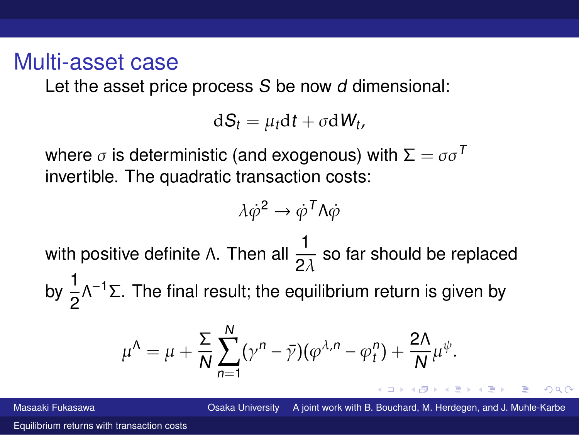### Multi-asset case

Let the asset price process S be now d dimensional:

 $dS_t = \mu_t dt + \sigma dW_t$ ,

where  $\sigma$  is deterministic (and exogenous) with  $\Sigma = \sigma \sigma^T$ invertible. The quadratic transaction costs:

$$
\lambda \dot{\varphi}^2 \to \dot{\varphi}^T \Lambda \dot{\varphi}
$$

with positive definite Λ. Then all  $\frac{1}{2\lambda}$  so far should be replaced by  $\frac{1}{2}$ Λ<sup>-1</sup>Σ. The final result; the equilibrium return is given by

$$
\mu^{\Lambda} = \mu + \frac{\Sigma}{N} \sum_{n=1}^{N} (\gamma^{n} - \bar{\gamma})(\varphi^{\lambda,n} - \varphi_{t}^{n}) + \frac{2\Lambda}{N} \mu^{\psi}.
$$

Masaaki Fukasawa Osaka University A joint work with B. Bouchard, M. Herdegen, and J. Muhle-Karbe

 $QQ$